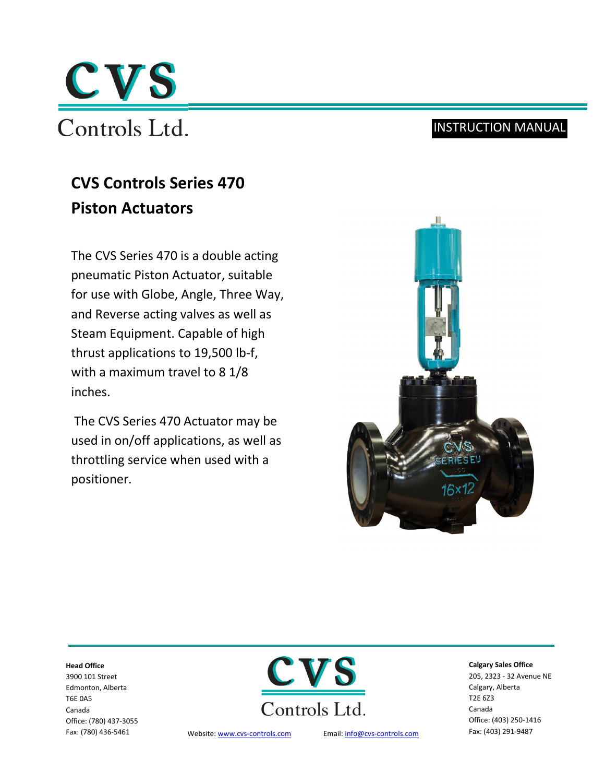

# INSTRUCTION MANUAL

# **CVS Controls Series 470 Piston Actuators**

The CVS Series 470 is a double acting pneumatic Piston Actuator, suitable for use with Globe, Angle, Three Way, and Reverse acting valves as well as Steam Equipment. Capable of high thrust applications to 19,500 lb-f, with a maximum travel to 8 1/8 inches.

The CVS Series 470 Actuator may be used in on/off applications, as well as throttling service when used with a positioner.



#### **Head Office**

3900 101 Street Edmonton, Alberta T6E 0A5 Canada Office: (780) 437-3055 Fax: (780) 436-5461



Website: www.cvs[-controls.com](http://www.cvs-controls.com/) Email[: info@cvs-controls.com](mailto:info@cvs-controls.com) Fax: (403) 291-9487

#### **Calgary Sales Office**

205, 2323 - 32 Avenue NE Calgary, Alberta T2E 6Z3 Canada Office: (403) 250-1416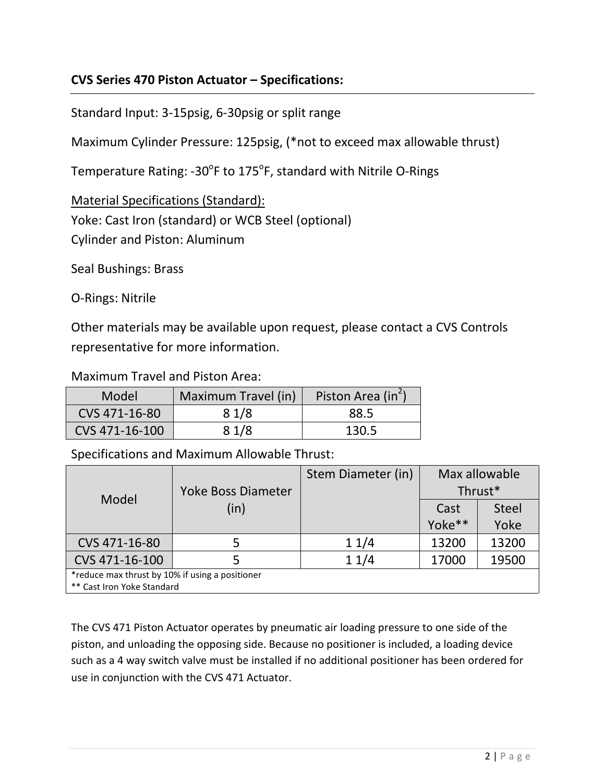# **CVS Series 470 Piston Actuator – Specifications:**

Standard Input: 3-15psig, 6-30psig or split range

Maximum Cylinder Pressure: 125psig, (\*not to exceed max allowable thrust)

Temperature Rating: -30<sup>°</sup>F to 175<sup>°</sup>F, standard with Nitrile O-Rings

Material Specifications (Standard): Yoke: Cast Iron (standard) or WCB Steel (optional) Cylinder and Piston: Aluminum

Seal Bushings: Brass

O-Rings: Nitrile

Other materials may be available upon request, please contact a CVS Controls representative for more information.

## Maximum Travel and Piston Area:

| Model          | Maximum Travel (in) | Piston Area (in <sup>2</sup> ) |
|----------------|---------------------|--------------------------------|
| CVS 471-16-80  | 81/8                | 88.5                           |
| CVS 471-16-100 | 81/8                | 130.5                          |

Specifications and Maximum Allowable Thrust:

|                                                 |                    | Stem Diameter (in) | Max allowable |              |  |  |
|-------------------------------------------------|--------------------|--------------------|---------------|--------------|--|--|
| Model                                           | Yoke Boss Diameter |                    | Thrust*       |              |  |  |
|                                                 | (in)               |                    | Cast          | <b>Steel</b> |  |  |
|                                                 |                    |                    | Yoke**        | Yoke         |  |  |
| CVS 471-16-80                                   | 5                  | 11/4               | 13200         | 13200        |  |  |
| CVS 471-16-100                                  |                    | 11/4               | 17000         | 19500        |  |  |
| *reduce max thrust by 10% if using a positioner |                    |                    |               |              |  |  |
| ** Cast Iron Yoke Standard                      |                    |                    |               |              |  |  |

The CVS 471 Piston Actuator operates by pneumatic air loading pressure to one side of the piston, and unloading the opposing side. Because no positioner is included, a loading device such as a 4 way switch valve must be installed if no additional positioner has been ordered for use in conjunction with the CVS 471 Actuator.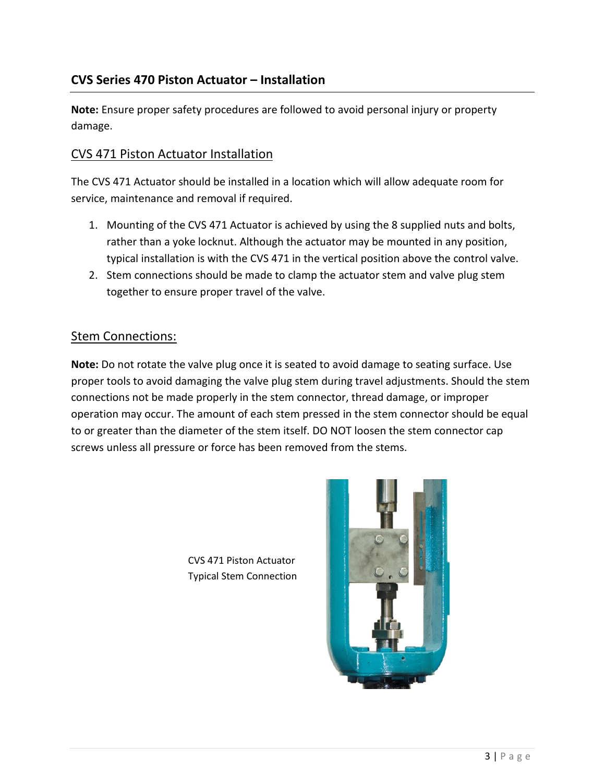**Note:** Ensure proper safety procedures are followed to avoid personal injury or property damage.

## CVS 471 Piston Actuator Installation

The CVS 471 Actuator should be installed in a location which will allow adequate room for service, maintenance and removal if required.

- 1. Mounting of the CVS 471 Actuator is achieved by using the 8 supplied nuts and bolts, rather than a yoke locknut. Although the actuator may be mounted in any position, typical installation is with the CVS 471 in the vertical position above the control valve.
- 2. Stem connections should be made to clamp the actuator stem and valve plug stem together to ensure proper travel of the valve.

### Stem Connections:

**Note:** Do not rotate the valve plug once it is seated to avoid damage to seating surface. Use proper tools to avoid damaging the valve plug stem during travel adjustments. Should the stem connections not be made properly in the stem connector, thread damage, or improper operation may occur. The amount of each stem pressed in the stem connector should be equal to or greater than the diameter of the stem itself. DO NOT loosen the stem connector cap screws unless all pressure or force has been removed from the stems.

CVS 471 Piston Actuator Typical Stem Connection

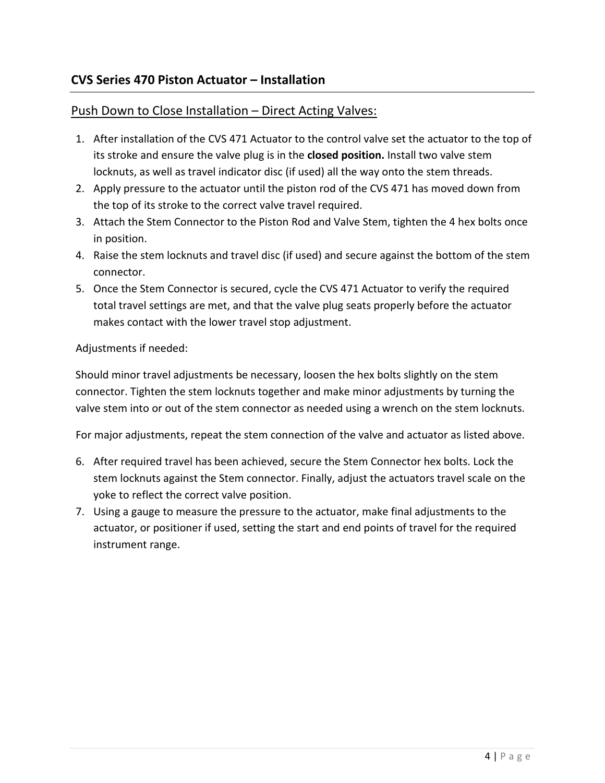# **CVS Series 470 Piston Actuator – Installation**

# Push Down to Close Installation - Direct Acting Valves:

- 1. After installation of the CVS 471 Actuator to the control valve set the actuator to the top of its stroke and ensure the valve plug is in the **closed position.** Install two valve stem locknuts, as well as travel indicator disc (if used) all the way onto the stem threads.
- 2. Apply pressure to the actuator until the piston rod of the CVS 471 has moved down from the top of its stroke to the correct valve travel required.
- 3. Attach the Stem Connector to the Piston Rod and Valve Stem, tighten the 4 hex bolts once in position.
- 4. Raise the stem locknuts and travel disc (if used) and secure against the bottom of the stem connector.
- 5. Once the Stem Connector is secured, cycle the CVS 471 Actuator to verify the required total travel settings are met, and that the valve plug seats properly before the actuator makes contact with the lower travel stop adjustment.

#### Adjustments if needed:

Should minor travel adjustments be necessary, loosen the hex bolts slightly on the stem connector. Tighten the stem locknuts together and make minor adjustments by turning the valve stem into or out of the stem connector as needed using a wrench on the stem locknuts.

For major adjustments, repeat the stem connection of the valve and actuator as listed above.

- 6. After required travel has been achieved, secure the Stem Connector hex bolts. Lock the stem locknuts against the Stem connector. Finally, adjust the actuators travel scale on the yoke to reflect the correct valve position.
- 7. Using a gauge to measure the pressure to the actuator, make final adjustments to the actuator, or positioner if used, setting the start and end points of travel for the required instrument range.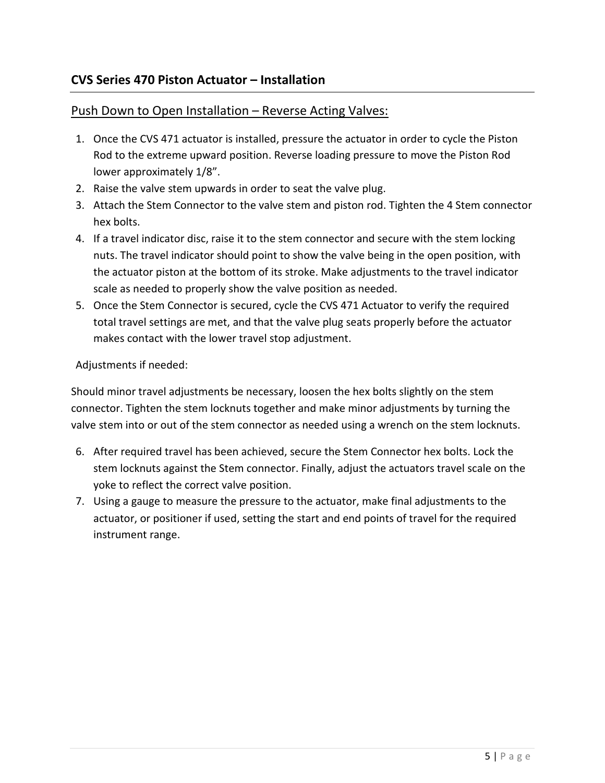# **CVS Series 470 Piston Actuator – Installation**

#### Push Down to Open Installation – Reverse Acting Valves:

- 1. Once the CVS 471 actuator is installed, pressure the actuator in order to cycle the Piston Rod to the extreme upward position. Reverse loading pressure to move the Piston Rod lower approximately 1/8".
- 2. Raise the valve stem upwards in order to seat the valve plug.
- 3. Attach the Stem Connector to the valve stem and piston rod. Tighten the 4 Stem connector hex bolts.
- 4. If a travel indicator disc, raise it to the stem connector and secure with the stem locking nuts. The travel indicator should point to show the valve being in the open position, with the actuator piston at the bottom of its stroke. Make adjustments to the travel indicator scale as needed to properly show the valve position as needed.
- 5. Once the Stem Connector is secured, cycle the CVS 471 Actuator to verify the required total travel settings are met, and that the valve plug seats properly before the actuator makes contact with the lower travel stop adjustment.

#### Adjustments if needed:

Should minor travel adjustments be necessary, loosen the hex bolts slightly on the stem connector. Tighten the stem locknuts together and make minor adjustments by turning the valve stem into or out of the stem connector as needed using a wrench on the stem locknuts.

- 6. After required travel has been achieved, secure the Stem Connector hex bolts. Lock the stem locknuts against the Stem connector. Finally, adjust the actuators travel scale on the yoke to reflect the correct valve position.
- 7. Using a gauge to measure the pressure to the actuator, make final adjustments to the actuator, or positioner if used, setting the start and end points of travel for the required instrument range.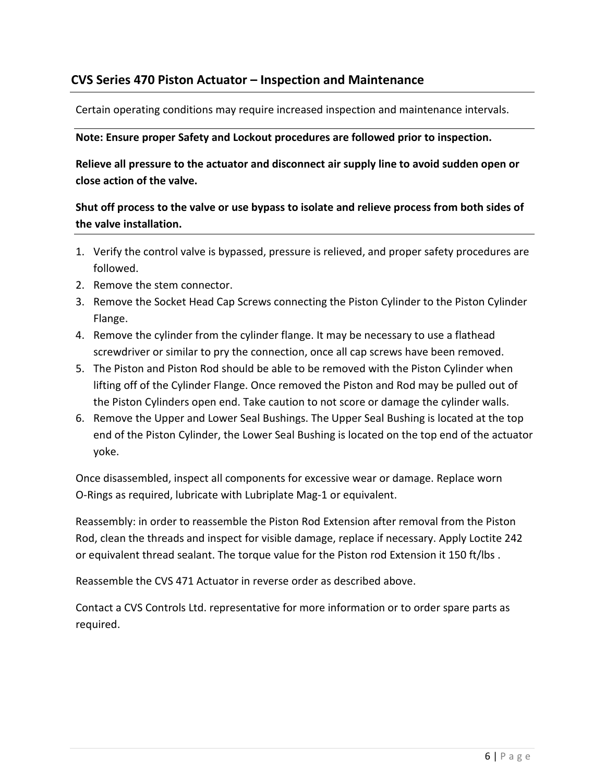# **CVS Series 470 Piston Actuator – Inspection and Maintenance**

Certain operating conditions may require increased inspection and maintenance intervals.

#### **Note: Ensure proper Safety and Lockout procedures are followed prior to inspection.**

**Relieve all pressure to the actuator and disconnect air supply line to avoid sudden open or close action of the valve.**

### **Shut off process to the valve or use bypass to isolate and relieve process from both sides of the valve installation.**

- 1. Verify the control valve is bypassed, pressure is relieved, and proper safety procedures are followed.
- 2. Remove the stem connector.
- 3. Remove the Socket Head Cap Screws connecting the Piston Cylinder to the Piston Cylinder Flange.
- 4. Remove the cylinder from the cylinder flange. It may be necessary to use a flathead screwdriver or similar to pry the connection, once all cap screws have been removed.
- 5. The Piston and Piston Rod should be able to be removed with the Piston Cylinder when lifting off of the Cylinder Flange. Once removed the Piston and Rod may be pulled out of the Piston Cylinders open end. Take caution to not score or damage the cylinder walls.
- 6. Remove the Upper and Lower Seal Bushings. The Upper Seal Bushing is located at the top end of the Piston Cylinder, the Lower Seal Bushing is located on the top end of the actuator yoke.

Once disassembled, inspect all components for excessive wear or damage. Replace worn O-Rings as required, lubricate with Lubriplate Mag-1 or equivalent.

Reassembly: in order to reassemble the Piston Rod Extension after removal from the Piston Rod, clean the threads and inspect for visible damage, replace if necessary. Apply Loctite 242 or equivalent thread sealant. The torque value for the Piston rod Extension it 150 ft/lbs .

Reassemble the CVS 471 Actuator in reverse order as described above.

Contact a CVS Controls Ltd. representative for more information or to order spare parts as required.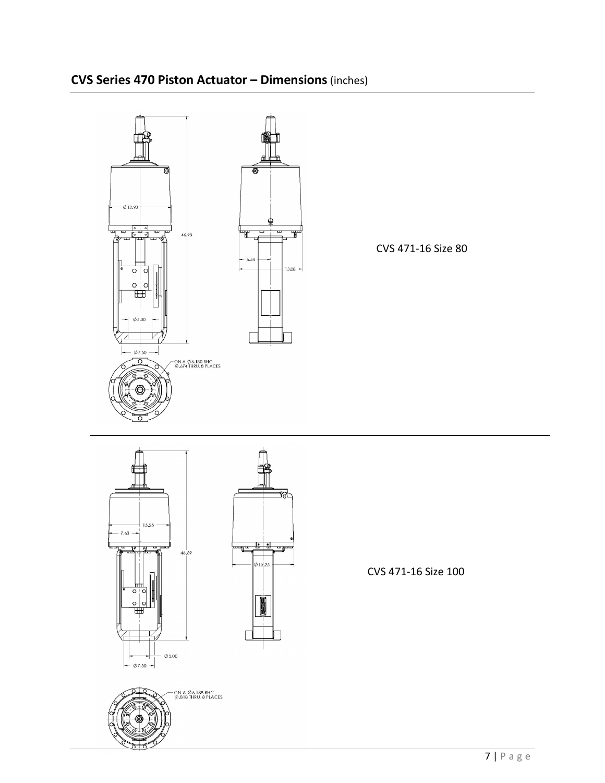

# **CVS Series 470 Piston Actuator – Dimensions**(inches)



- ON A Ø 6.188 BHC<br>Ø.818 THRU, 8 PLACES



CVS 471-16 Size 100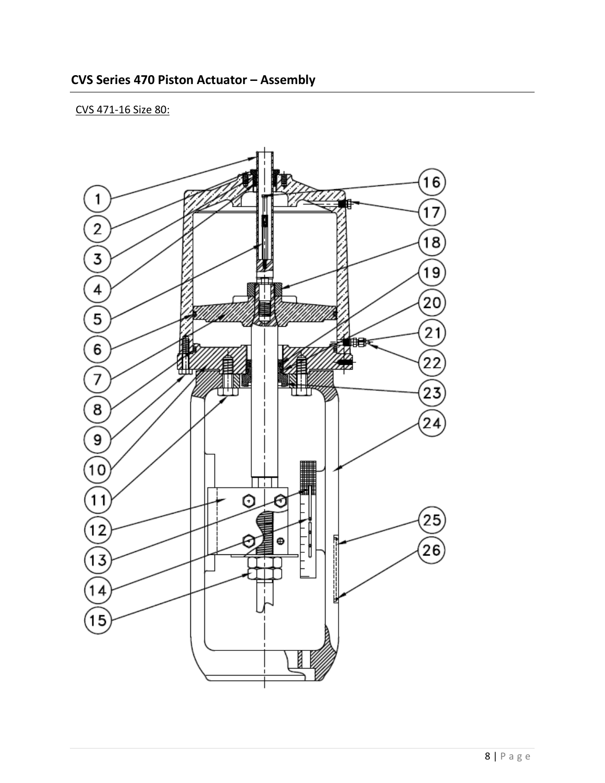### CVS 471-16 Size 80:

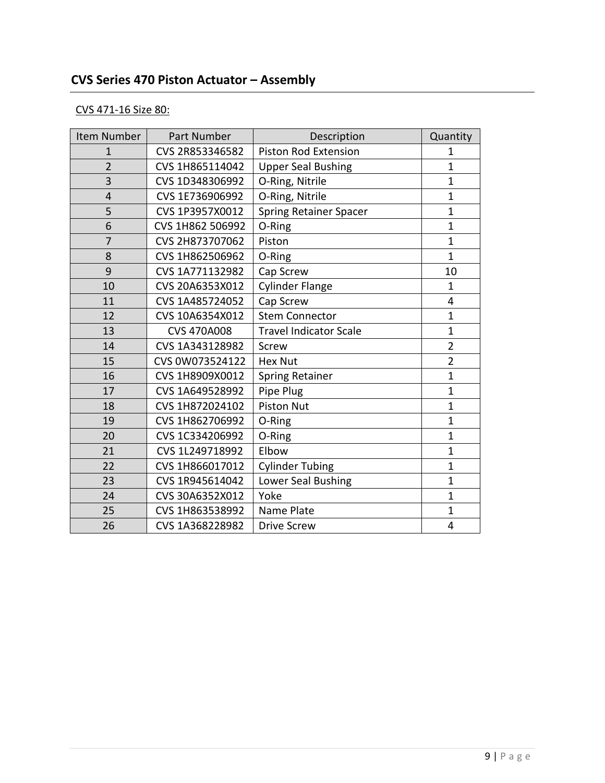# **CVS Series 470 Piston Actuator – Assembly**

# CVS 471-16 Size 80:

| Item Number    | Part Number        | Description                   | Quantity       |
|----------------|--------------------|-------------------------------|----------------|
| $\mathbf{1}$   | CVS 2R853346582    | Piston Rod Extension          | $\mathbf{1}$   |
| $\overline{2}$ | CVS 1H865114042    | <b>Upper Seal Bushing</b>     | $\mathbf{1}$   |
| 3              | CVS 1D348306992    | O-Ring, Nitrile               | $\mathbf{1}$   |
| $\overline{4}$ | CVS 1E736906992    | O-Ring, Nitrile               | $\mathbf{1}$   |
| 5              | CVS 1P3957X0012    | <b>Spring Retainer Spacer</b> | $\overline{1}$ |
| 6              | CVS 1H862 506992   | O-Ring                        | $\overline{1}$ |
| 7              | CVS 2H873707062    | Piston                        | $\mathbf{1}$   |
| 8              | CVS 1H862506962    | O-Ring                        | $\mathbf{1}$   |
| 9              | CVS 1A771132982    | Cap Screw                     | 10             |
| 10             | CVS 20A6353X012    | <b>Cylinder Flange</b>        | $\mathbf{1}$   |
| 11             | CVS 1A485724052    | Cap Screw                     | 4              |
| 12             | CVS 10A6354X012    | <b>Stem Connector</b>         | $\mathbf{1}$   |
| 13             | <b>CVS 470A008</b> | <b>Travel Indicator Scale</b> | $\mathbf{1}$   |
| 14             | CVS 1A343128982    | Screw                         | $\overline{2}$ |
| 15             | CVS 0W073524122    | <b>Hex Nut</b>                | $\overline{2}$ |
| 16             | CVS 1H8909X0012    | <b>Spring Retainer</b>        | $\mathbf{1}$   |
| 17             | CVS 1A649528992    | Pipe Plug                     | $\overline{1}$ |
| 18             | CVS 1H872024102    | <b>Piston Nut</b>             | $\mathbf{1}$   |
| 19             | CVS 1H862706992    | O-Ring                        | $\mathbf{1}$   |
| 20             | CVS 1C334206992    | O-Ring                        | $\mathbf{1}$   |
| 21             | CVS 1L249718992    | Elbow                         | $\mathbf{1}$   |
| 22             | CVS 1H866017012    | <b>Cylinder Tubing</b>        | $\mathbf{1}$   |
| 23             | CVS 1R945614042    | Lower Seal Bushing            | $\mathbf{1}$   |
| 24             | CVS 30A6352X012    | Yoke                          | $\mathbf{1}$   |
| 25             | CVS 1H863538992    | Name Plate                    | $\mathbf{1}$   |
| 26             | CVS 1A368228982    | <b>Drive Screw</b>            | 4              |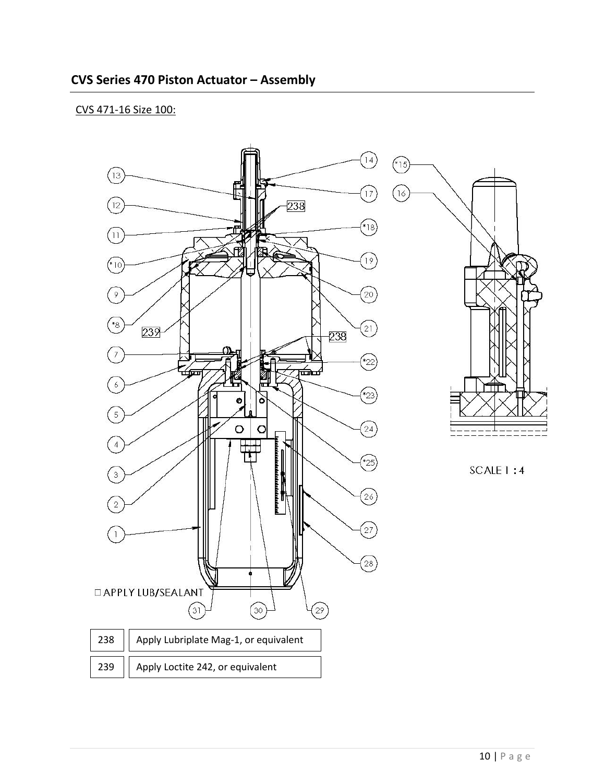#### CVS 471-16 Size 100:

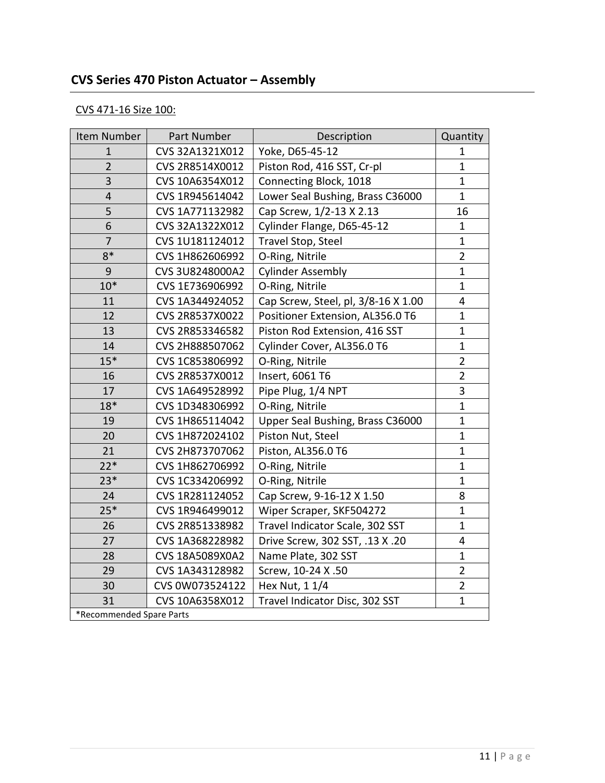# **CVS Series 470 Piston Actuator – Assembly**

# CVS 471-16 Size 100:

| Item Number              | Part Number     | Description                         | Quantity       |  |
|--------------------------|-----------------|-------------------------------------|----------------|--|
| $\mathbf{1}$             | CVS 32A1321X012 | Yoke, D65-45-12                     | $\mathbf{1}$   |  |
| $\overline{2}$           | CVS 2R8514X0012 | Piston Rod, 416 SST, Cr-pl          | $\mathbf{1}$   |  |
| 3                        | CVS 10A6354X012 | Connecting Block, 1018              | $\mathbf{1}$   |  |
| $\overline{4}$           | CVS 1R945614042 | Lower Seal Bushing, Brass C36000    | $\mathbf{1}$   |  |
| 5                        | CVS 1A771132982 | Cap Screw, 1/2-13 X 2.13            | 16             |  |
| 6                        | CVS 32A1322X012 | Cylinder Flange, D65-45-12          | $\mathbf{1}$   |  |
| 7                        | CVS 1U181124012 | Travel Stop, Steel                  | $\mathbf{1}$   |  |
| $8*$                     | CVS 1H862606992 | O-Ring, Nitrile                     | $\overline{2}$ |  |
| 9                        | CVS 3U8248000A2 | <b>Cylinder Assembly</b>            | $\mathbf{1}$   |  |
| $10*$                    | CVS 1E736906992 | O-Ring, Nitrile                     | $\mathbf{1}$   |  |
| 11                       | CVS 1A344924052 | Cap Screw, Steel, pl, 3/8-16 X 1.00 | 4              |  |
| 12                       | CVS 2R8537X0022 | Positioner Extension, AL356.0 T6    | $\mathbf{1}$   |  |
| 13                       | CVS 2R853346582 | Piston Rod Extension, 416 SST       | $\mathbf{1}$   |  |
| 14                       | CVS 2H888507062 | Cylinder Cover, AL356.0 T6          | $\mathbf{1}$   |  |
| $15*$                    | CVS 1C853806992 | O-Ring, Nitrile                     | $\overline{2}$ |  |
| 16                       | CVS 2R8537X0012 | Insert, 6061 T6                     | $\overline{2}$ |  |
| 17                       | CVS 1A649528992 | Pipe Plug, 1/4 NPT                  | 3              |  |
| $18*$                    | CVS 1D348306992 | O-Ring, Nitrile                     | $\mathbf{1}$   |  |
| 19                       | CVS 1H865114042 | Upper Seal Bushing, Brass C36000    | $\mathbf{1}$   |  |
| 20                       | CVS 1H872024102 | Piston Nut, Steel                   | $\mathbf{1}$   |  |
| 21                       | CVS 2H873707062 | Piston, AL356.0 T6                  | $\mathbf{1}$   |  |
| $22*$                    | CVS 1H862706992 | O-Ring, Nitrile                     | $\mathbf{1}$   |  |
| $23*$                    | CVS 1C334206992 | O-Ring, Nitrile                     | $\mathbf{1}$   |  |
| 24                       | CVS 1R281124052 | Cap Screw, 9-16-12 X 1.50           | 8              |  |
| $25*$                    | CVS 1R946499012 | Wiper Scraper, SKF504272            | $\mathbf{1}$   |  |
| 26                       | CVS 2R851338982 | Travel Indicator Scale, 302 SST     | $\mathbf{1}$   |  |
| 27                       | CVS 1A368228982 | Drive Screw, 302 SST, .13 X .20     | 4              |  |
| 28                       | CVS 18A5089X0A2 | Name Plate, 302 SST                 | $\mathbf{1}$   |  |
| 29                       | CVS 1A343128982 | Screw, 10-24 X .50                  | $\overline{2}$ |  |
| 30                       | CVS 0W073524122 | Hex Nut, 1 1/4                      | $\overline{2}$ |  |
| 31                       | CVS 10A6358X012 | Travel Indicator Disc, 302 SST      | $\mathbf{1}$   |  |
| *Recommended Spare Parts |                 |                                     |                |  |